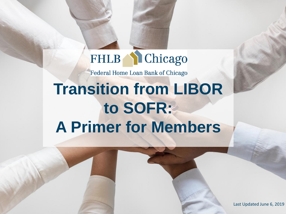#### **Chicago FHLB**

Federal Home Loan Bank of Chicago

## **Transition from LIBOR to SOFR: A Primer for Members**

Last Updated June 6, 2019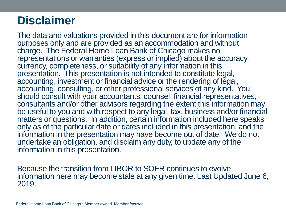## **Disclaimer**

The data and valuations provided in this document are for information purposes only and are provided as an accommodation and without charge. The Federal Home Loan Bank of Chicago makes no representations or warranties (express or implied) about the accuracy, currency, completeness, or suitability of any information in this presentation. This presentation is not intended to constitute legal, accounting, investment or financial advice or the rendering of legal, accounting, consulting, or other professional services of any kind. You should consult with your accountants, counsel, financial representatives, consultants and/or other advisors regarding the extent this information may be useful to you and with respect to any legal, tax, business and/or financial matters or questions. In addition, certain information included here speaks only as of the particular date or dates included in this presentation, and the information in the presentation may have become out of date. We do not undertake an obligation, and disclaim any duty, to update any of the information in this presentation.

Because the transition from LIBOR to SOFR continues to evolve, information here may become stale at any given time. Last Updated June 6, 2019.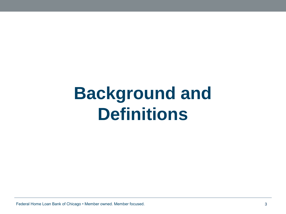## **Background and Definitions**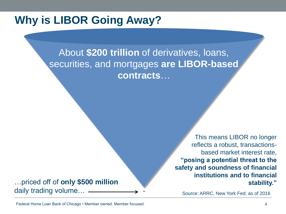#### **Why is LIBOR Going Away?**

About **\$200 trillion** of derivatives, loans, securities, and mortgages **are LIBOR-based contracts**…

…priced off of **only \$500 million**  daily trading volume…

This means LIBOR no longer reflects a robust, transactionsbased market interest rate, **"posing a potential threat to the safety and soundness of financial institutions and to financial stability."**

Source: ARRC, New York Fed; as of 2016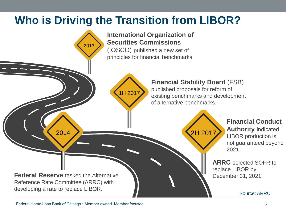### **Who is Driving the Transition from LIBOR?**

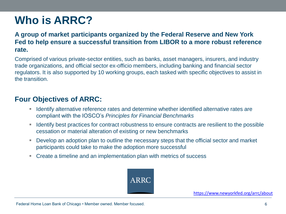### **Who is ARRC?**

**A group of market participants organized by the Federal Reserve and New York Fed to help ensure a successful transition from LIBOR to a more robust reference rate.** 

Comprised of various private-sector entities, such as banks, asset managers, insurers, and industry trade organizations, and official sector ex-officio members, including banking and financial sector regulators. It is also supported by 10 working groups, each tasked with specific objectives to assist in the transition.

#### **Four Objectives of ARRC:**

- **If all identify alternative reference rates and determine whether identified alternative rates are** compliant with the IOSCO's *Principles for Financial Benchmarks*
- **If Identify best practices for contract robustness to ensure contracts are resilient to the possible** cessation or material alteration of existing or new benchmarks
- Develop an adoption plan to outline the necessary steps that the official sector and market participants could take to make the adoption more successful
- Create a timeline and an implementation plan with metrics of success

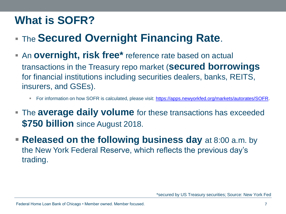### **What is SOFR?**

- **The Secured Overnight Financing Rate.**
- An **overnight, risk free\*** reference rate based on actual transactions in the Treasury repo market (**secured borrowings**  for financial institutions including securities dealers, banks, REITS, insurers, and GSEs).
	- For information on how SOFR is calculated, please visit: [https://apps.newyorkfed.org/markets/autorates/SOFR.](https://apps.newyorkfed.org/markets/autorates/SOFR)
- The **average daily volume** for these transactions has exceeded **\$750 billion** since August 2018.
- **Released on the following business day** at 8:00 a.m. by the New York Federal Reserve, which reflects the previous day's trading.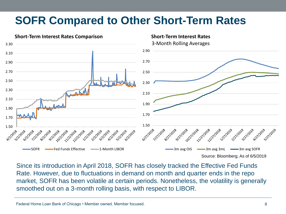### **SOFR Compared to Other Short-Term Rates**



Since its introduction in April 2018, SOFR has closely tracked the Effective Fed Funds Rate. However, due to fluctuations in demand on month and quarter ends in the repo market, SOFR has been volatile at certain periods. Nonetheless, the volatility is generally smoothed out on a 3-month rolling basis, with respect to LIBOR.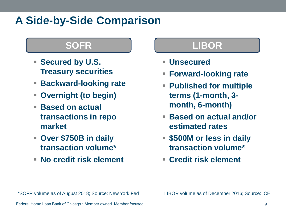### **A Side-by-Side Comparison**

- **Secured by U.S. Treasury securities**
- **Backward-looking rate**
- **Overnight (to begin)**
- **Based on actual transactions in repo market**
- **Over \$750B in daily transaction volume\***
- **No credit risk element**

#### **SOFR LIBOR**

- **Unsecured**
- **Forward-looking rate**
- **Published for multiple terms (1-month, 3 month, 6-month)**
- **Based on actual and/or estimated rates**
- **\$500M or less in daily transaction volume\***
- **Credit risk element**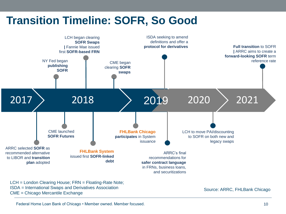### **Transition Timeline: SOFR, So Good**



LCH = London Clearing House; FRN = Floating-Rate Note; ISDA = International Swaps and Derivatives Association CME = Chicago Mercantile Exchange

Source: ARRC, FHLBank Chicago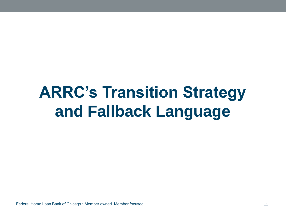## **ARRC's Transition Strategy and Fallback Language**

Federal Home Loan Bank of Chicago • Member owned. Member focused. 11 November 2012 11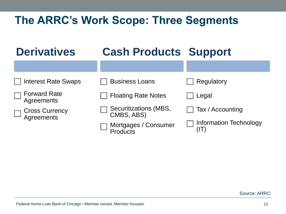### **The ARRC's Work Scope: Three Segments**

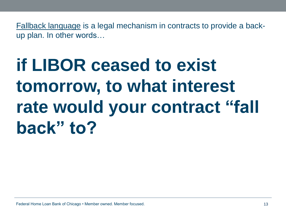Fallback language is a legal mechanism in contracts to provide a backup plan. In other words…

## **if LIBOR ceased to exist tomorrow, to what interest rate would your contract "fall back" to?**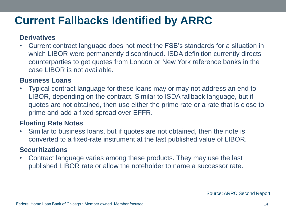### **Current Fallbacks Identified by ARRC**

#### **Derivatives**

• Current contract language does not meet the FSB's standards for a situation in which LIBOR were permanently discontinued. ISDA definition currently directs counterparties to get quotes from London or New York reference banks in the case LIBOR is not available.

#### **Business Loans**

• Typical contract language for these loans may or may not address an end to LIBOR, depending on the contract. Similar to ISDA fallback language, but if quotes are not obtained, then use either the prime rate or a rate that is close to prime and add a fixed spread over EFFR.

#### **Floating Rate Notes**

• Similar to business loans, but if quotes are not obtained, then the note is converted to a fixed-rate instrument at the last published value of LIBOR.

#### **Securitizations**

• Contract language varies among these products. They may use the last published LIBOR rate or allow the noteholder to name a successor rate.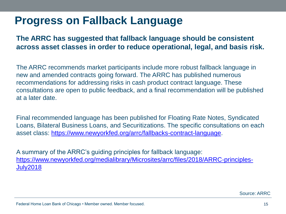#### **Progress on Fallback Language**

#### **The ARRC has suggested that fallback language should be consistent across asset classes in order to reduce operational, legal, and basis risk.**

The ARRC recommends market participants include more robust fallback language in new and amended contracts going forward. The ARRC has published numerous recommendations for addressing risks in cash product contract language. These consultations are open to public feedback, and a final recommendation will be published at a later date.

Final recommended language has been published for Floating Rate Notes, Syndicated Loans, Bilateral Business Loans, and Securitizations. The specific consultations on each asset class: [https://www.newyorkfed.org/arrc/fallbacks-contract-language.](https://www.newyorkfed.org/arrc/fallbacks-contract-language)

A summary of the ARRC's guiding principles for fallback language: [https://www.newyorkfed.org/medialibrary/Microsites/arrc/files/2018/ARRC-principles-](https://www.newyorkfed.org/medialibrary/Microsites/arrc/files/2018/ARRC-principles-July2018)[July2018](https://www.newyorkfed.org/medialibrary/Microsites/arrc/files/2018/ARRC-principles-July2018) 

Source: ARRC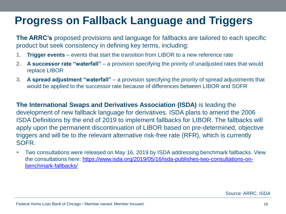### **Progress on Fallback Language and Triggers**

**The ARRC's** proposed provisions and language for fallbacks are tailored to each specific product but seek consistency in defining key terms, including:

- **1. Trigger events**  events that start the transition from LIBOR to a new reference rate
- **2. A successor rate "waterfall"**  a provision specifying the priority of unadjusted rates that would replace LIBOR
- **3. A spread adjustment "waterfall"**  a provision specifying the priority of spread adjustments that would be applied to the successor rate because of differences between LIBOR and SOFR

**The International Swaps and Derivatives Association (ISDA)** is leading the development of new fallback language for derivatives. ISDA plans to amend the 2006 ISDA Definitions by the end of 2019 to implement fallbacks for LIBOR. The fallbacks will apply upon the permanent discontinuation of LIBOR based on pre-determined, objective triggers and will be to the relevant alternative risk-free rate (RFR), which is currently SOFR.

 Two consultations were released on May 16, 2019 by ISDA addressing benchmark fallbacks. View the consultations here: [https://www.isda.org/2019/05/16/isda-publishes-two-consultations-on](https://www.isda.org/2019/05/16/isda-publishes-two-consultations-on-benchmark-fallbacks/)[benchmark-fallbacks/](https://www.isda.org/2019/05/16/isda-publishes-two-consultations-on-benchmark-fallbacks/)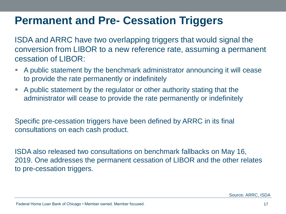### **Permanent and Pre- Cessation Triggers**

ISDA and ARRC have two overlapping triggers that would signal the conversion from LIBOR to a new reference rate, assuming a permanent cessation of LIBOR:

- A public statement by the benchmark administrator announcing it will cease to provide the rate permanently or indefinitely
- A public statement by the regulator or other authority stating that the administrator will cease to provide the rate permanently or indefinitely

Specific pre-cessation triggers have been defined by ARRC in its final consultations on each cash product.

ISDA also released two consultations on benchmark fallbacks on May 16, 2019. One addresses the permanent cessation of LIBOR and the other relates to pre-cessation triggers.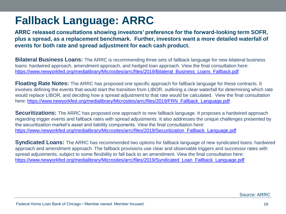### **Fallback Language: ARRC**

**ARRC released consultations showing investors' preference for the forward-looking term SOFR, plus a spread, as a replacement benchmark. Further, investors want a more detailed waterfall of events for both rate and spread adjustment for each cash product.** 

**Bilateral Business Loans:** The ARRC is recommending three sets of fallback language for new bilateral business loans: hardwired approach, amendment approach, and hedged loan approach. View the final consultation here: [https://www.newyorkfed.org/medialibrary/Microsites/arrc/files/2019/Bilateral\\_Business\\_Loans\\_Fallback.pdf](https://www.newyorkfed.org/medialibrary/Microsites/arrc/files/2019/Bilateral_Business_Loans_Fallback.pdf)

**Floating Rate Notes:** The ARRC has proposed one specific approach for fallback language for these contracts. It involves defining the events that would start the transition from LIBOR, outlining a clear waterfall for determining which rate would replace LIBOR, and deciding how a spread adjustment to that rate would be calculated. View the final consultation here: [https://www.newyorkfed.org/medialibrary/Microsites/arrc/files/2019/FRN\\_Fallback\\_Language.pdf](https://www.newyorkfed.org/medialibrary/Microsites/arrc/files/2019/FRN_Fallback_Language.pdf)

**Securitizations:** The ARRC has proposed one approach to new fallback language. It proposes a hardwired approach regarding trigger events and fallback rates with spread adjustments. It also addresses the unique challenges presented by the securitization market's asset and liability components. View the final consultation here: [https://www.newyorkfed.org/medialibrary/Microsites/arrc/files/2019/Securitization\\_Fallback\\_Language.pdf](https://www.newyorkfed.org/medialibrary/Microsites/arrc/files/2019/Securitization_Fallback_Language.pdf)

**Syndicated Loans:** The ARRC has recommended two options for fallback language of new syndicated loans: hardwired approach and amendment approach. The fallback provisions use clear and observable triggers and successor rates with spread adjustments, subject to some flexibility to fall back to an amendment. View the final consultation here: [https://www.newyorkfed.org/medialibrary/Microsites/arrc/files/2019/Syndicated\\_Loan\\_Fallback\\_Language.pdf](https://www.newyorkfed.org/medialibrary/Microsites/arrc/files/2019/Syndicated_Loan_Fallback_Language.pdf)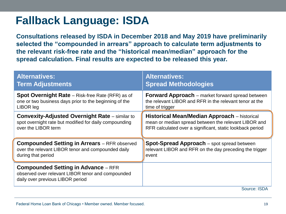### **Fallback Language: ISDA**

**Consultations released by ISDA in December 2018 and May 2019 have preliminarily selected the "compounded in arrears" approach to calculate term adjustments to the relevant risk-free rate and the "historical mean/median" approach for the spread calculation. Final results are expected to be released this year.** 

| <b>Alternatives:</b>                                                                                                                | <b>Alternatives:</b>                                      |
|-------------------------------------------------------------------------------------------------------------------------------------|-----------------------------------------------------------|
| <b>Term Adjustments</b>                                                                                                             | <b>Spread Methodologies</b>                               |
| <b>Spot Overnight Rate</b> – Risk-free Rate (RFR) as of                                                                             | <b>Forward Approach</b> – market forward spread between   |
| one or two business days prior to the beginning of the                                                                              | the relevant LIBOR and RFR in the relevant tenor at the   |
| LIBOR leg                                                                                                                           | time of trigger                                           |
| <b>Convexity-Adjusted Overnight Rate - similar to</b>                                                                               | <b>Historical Mean/Median Approach</b> – historical       |
| spot overnight rate but modified for daily compounding                                                                              | mean or median spread between the relevant LIBOR and      |
| over the LIBOR term                                                                                                                 | RFR calculated over a significant, static lookback period |
| <b>Compounded Setting in Arrears</b> - RFR observed                                                                                 | <b>Spot-Spread Approach</b> – spot spread between         |
| over the relevant LIBOR tenor and compounded daily                                                                                  | relevant LIBOR and RFR on the day preceding the trigger   |
| during that period                                                                                                                  | event                                                     |
| <b>Compounded Setting in Advance - RFR</b><br>observed over relevant LIBOR tenor and compounded<br>daily over previous LIBOR period |                                                           |
|                                                                                                                                     | Source: ISDA                                              |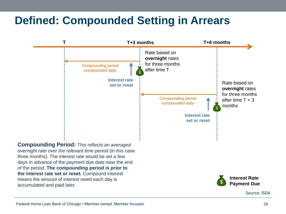### **Defined: Compounded Setting in Arrears**

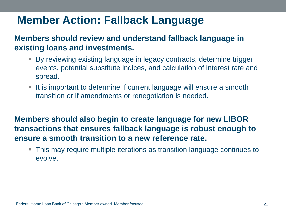### **Member Action: Fallback Language**

**Members should review and understand fallback language in existing loans and investments.** 

- By reviewing existing language in legacy contracts, determine trigger events, potential substitute indices, and calculation of interest rate and spread.
- If is important to determine if current language will ensure a smooth transition or if amendments or renegotiation is needed.

**Members should also begin to create language for new LIBOR transactions that ensures fallback language is robust enough to ensure a smooth transition to a new reference rate.** 

 This may require multiple iterations as transition language continues to evolve.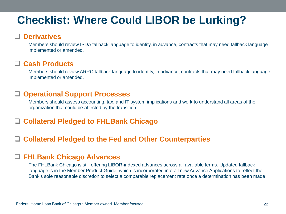### **Checklist: Where Could LIBOR be Lurking?**

#### **Derivatives**

Members should review ISDA fallback language to identify, in advance, contracts that may need fallback language implemented or amended.

#### **Cash Products**

Members should review ARRC fallback language to identify, in advance, contracts that may need fallback language implemented or amended.

#### **Operational Support Processes**

Members should assess accounting, tax, and IT system implications and work to understand all areas of the organization that could be affected by the transition.

#### **Collateral Pledged to FHLBank Chicago**

#### **Collateral Pledged to the Fed and Other Counterparties**

#### **FHLBank Chicago Advances**

The FHLBank Chicago is still offering LIBOR-indexed advances across all available terms. Updated fallback language is in the Member Product Guide, which is incorporated into all new Advance Applications to reflect the Bank's sole reasonable discretion to select a comparable replacement rate once a determination has been made.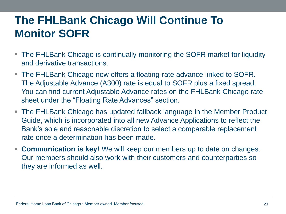### **The FHLBank Chicago Will Continue To Monitor SOFR**

- The FHLBank Chicago is continually monitoring the SOFR market for liquidity and derivative transactions.
- The FHLBank Chicago now offers a floating-rate advance linked to SOFR. The Adjustable Advance (A300) rate is equal to SOFR plus a fixed spread. You can find current Adjustable Advance rates on the FHLBank Chicago rate sheet under the "Floating Rate Advances" section.
- The FHLBank Chicago has updated fallback language in the Member Product Guide, which is incorporated into all new Advance Applications to reflect the Bank's sole and reasonable discretion to select a comparable replacement rate once a determination has been made.
- **Communication is key!** We will keep our members up to date on changes. Our members should also work with their customers and counterparties so they are informed as well.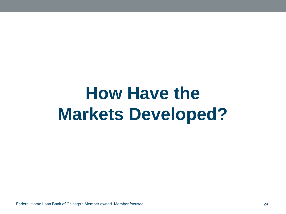## **How Have the Markets Developed?**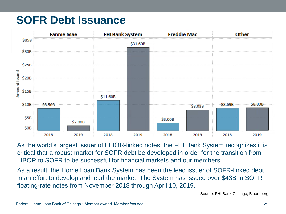### **SOFR Debt Issuance**



As the world's largest issuer of LIBOR-linked notes, the FHLBank System recognizes it is critical that a robust market for SOFR debt be developed in order for the transition from LIBOR to SOFR to be successful for financial markets and our members.

As a result, the Home Loan Bank System has been the lead issuer of SOFR-linked debt in an effort to develop and lead the market. The System has issued over \$43B in SOFR floating-rate notes from November 2018 through April 10, 2019.

Source: FHLBank Chicago, Bloomberg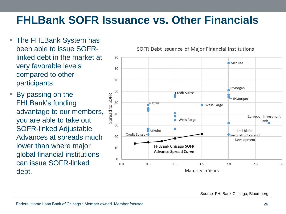### **FHLBank SOFR Issuance vs. Other Financials**

- The FHLBank System has been able to issue SOFRlinked debt in the market at very favorable levels compared to other participants.
- By passing on the FHLBank's funding advantage to our members, you are able to take out SOFR-linked Adjustable Advances at spreads much lower than where major global financial institutions can issue SOFR-linked debt.

SOFR Debt Issuance of Major Financial Institutions



Source: FHLBank Chicago, Bloomberg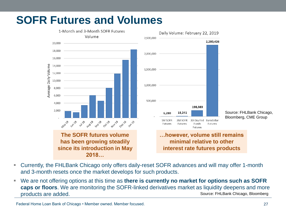### **SOFR Futures and Volumes**





**…however, volume still remains minimal relative to other interest rate futures products**

- Currently, the FHLBank Chicago only offers daily-reset SOFR advances and will may offer 1-month and 3-month resets once the market develops for such products.
- We are not offering options at this time as **there is currently no market for options such as SOFR caps or floors**. We are monitoring the SOFR-linked derivatives market as liquidity deepens and more products are added. Source: FHLBank Chicago, Bloomberg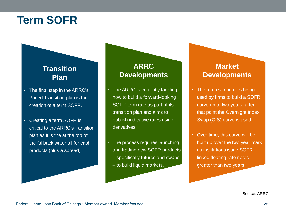#### **Term SOFR**

#### **Transition Plan**

- The final step in the ARRC's Paced Transition plan is the creation of a term SOFR.
- Creating a term SOFR is critical to the ARRC's transition plan as it is the at the top of the fallback waterfall for cash products (plus a spread).

#### **ARRC Developments**

- The ARRC is currently tackling how to build a forward-looking SOFR term rate as part of its transition plan and aims to publish indicative rates using derivatives.
- The process requires launching and trading new SOFR products
	- specifically futures and swaps
	- to build liquid markets.

#### **Market Developments**

- The futures market is being used by firms to build a SOFR curve up to two years; after that point the Overnight Index Swap (OIS) curve is used.
- Over time, this curve will be built up over the two year mark as institutions issue SOFRlinked floating-rate notes greater than two years.